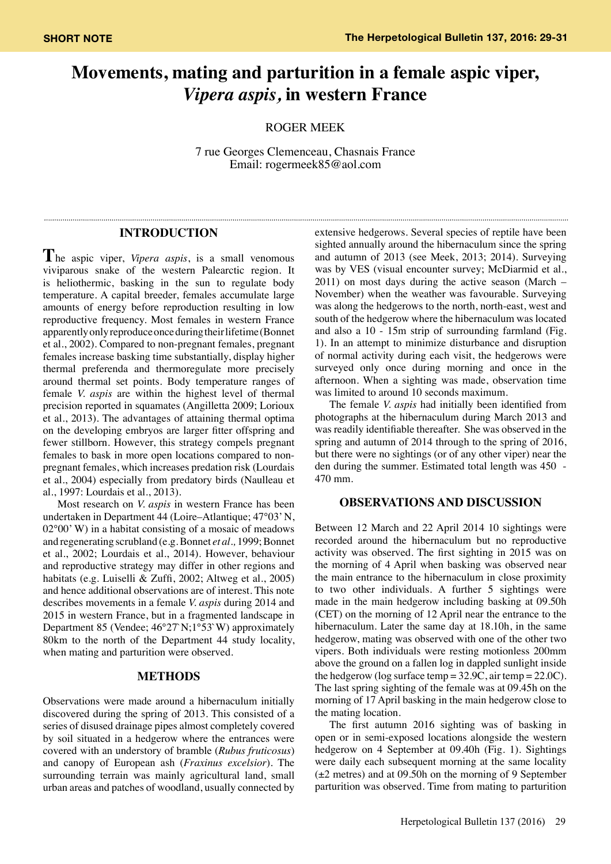# **Movements, mating and parturition in a female aspic viper,**  *Vipera aspis,* **in western France**

ROGER MEEK

7 rue Georges Clemenceau, Chasnais France Email: rogermeek85@aol.com

# **INTRODUCTION**

**T**he aspic viper, *Vipera aspis*, is a small venomous viviparous snake of the western Palearctic region. It is heliothermic, basking in the sun to regulate body temperature. A capital breeder, females accumulate large amounts of energy before reproduction resulting in low reproductive frequency. Most females in western France apparently only reproduce once during their lifetime (Bonnet et al., 2002). Compared to non-pregnant females, pregnant females increase basking time substantially, display higher thermal preferenda and thermoregulate more precisely around thermal set points. Body temperature ranges of female *V. aspis* are within the highest level of thermal precision reported in squamates (Angilletta 2009; Lorioux et al., 2013). The advantages of attaining thermal optima on the developing embryos are larger fitter offspring and fewer stillborn. However, this strategy compels pregnant females to bask in more open locations compared to nonpregnant females, which increases predation risk (Lourdais et al., 2004) especially from predatory birds (Naulleau et al., 1997: Lourdais et al., 2013).

Most research on *V. aspis* in western France has been undertaken in Department 44 (Loire–Atlantique; 47°03' N, 02°00' W) in a habitat consisting of a mosaic of meadows and regenerating scrubland (e.g. Bonnet *et al.,* 1999; Bonnet et al., 2002; Lourdais et al., 2014). However, behaviour and reproductive strategy may differ in other regions and habitats (e.g. Luiselli & Zuffi, 2002; Altweg et al., 2005) and hence additional observations are of interest. This note describes movements in a female *V. aspis* during 2014 and 2015 in western France, but in a fragmented landscape in Department 85 (Vendee; 46°27`N;1°53`W) approximately 80km to the north of the Department 44 study locality, when mating and parturition were observed.

#### **METHODS**

Observations were made around a hibernaculum initially discovered during the spring of 2013. This consisted of a series of disused drainage pipes almost completely covered by soil situated in a hedgerow where the entrances were covered with an understory of bramble (*Rubus fruticosus*) and canopy of European ash (*Fraxinus excelsior*). The surrounding terrain was mainly agricultural land, small urban areas and patches of woodland, usually connected by extensive hedgerows. Several species of reptile have been sighted annually around the hibernaculum since the spring and autumn of 2013 (see Meek, 2013; 2014). Surveying was by VES (visual encounter survey; McDiarmid et al., 2011) on most days during the active season (March – November) when the weather was favourable. Surveying was along the hedgerows to the north, north-east, west and south of the hedgerow where the hibernaculum was located and also a 10 - 15m strip of surrounding farmland (Fig. 1). In an attempt to minimize disturbance and disruption of normal activity during each visit, the hedgerows were surveyed only once during morning and once in the afternoon. When a sighting was made, observation time was limited to around 10 seconds maximum.

The female *V. aspis* had initially been identified from photographs at the hibernaculum during March 2013 and was readily identifiable thereafter. She was observed in the spring and autumn of 2014 through to the spring of 2016, but there were no sightings (or of any other viper) near the den during the summer. Estimated total length was 450 - 470 mm.

# **OBSERVATIONS AND DISCUSSION**

Between 12 March and 22 April 2014 10 sightings were recorded around the hibernaculum but no reproductive activity was observed. The first sighting in 2015 was on the morning of 4 April when basking was observed near the main entrance to the hibernaculum in close proximity to two other individuals. A further 5 sightings were made in the main hedgerow including basking at 09.50h (CET) on the morning of 12 April near the entrance to the hibernaculum. Later the same day at 18.10h, in the same hedgerow, mating was observed with one of the other two vipers. Both individuals were resting motionless 200mm above the ground on a fallen log in dappled sunlight inside the hedgerow (log surface temp =  $32.9C$ , air temp =  $22.0C$ ). The last spring sighting of the female was at 09.45h on the morning of 17 April basking in the main hedgerow close to the mating location.

The first autumn 2016 sighting was of basking in open or in semi-exposed locations alongside the western hedgerow on 4 September at 09.40h (Fig. 1). Sightings were daily each subsequent morning at the same locality (±2 metres) and at 09.50h on the morning of 9 September parturition was observed. Time from mating to parturition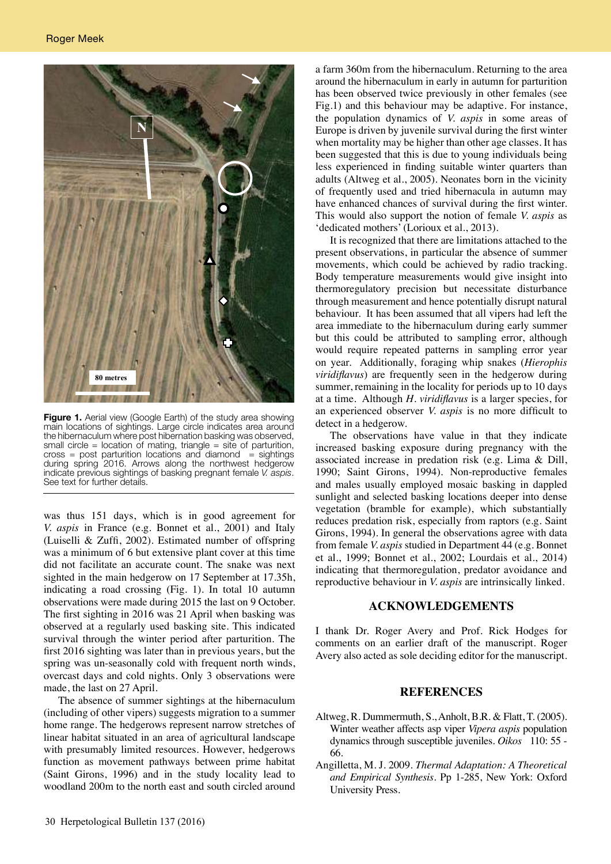

**Figure 1.** Aerial view (Google Earth) of the study area showing main locations of sightings. Large circle indicates area around the hibernaculum where post hibernation basking was observed, small circle = location of mating, triangle = site of parturition,  $cross = post$  parturition locations and diamond  $=$  sightings during spring 2016. Arrows along the northwest hedgerow indicate previous sightings of basking pregnant female *V. aspis*. See text for further details.

was thus 151 days, which is in good agreement for *V. aspis* in France (e.g. Bonnet et al., 2001) and Italy (Luiselli & Zuffi, 2002). Estimated number of offspring was a minimum of 6 but extensive plant cover at this time did not facilitate an accurate count. The snake was next sighted in the main hedgerow on 17 September at 17.35h, indicating a road crossing (Fig. 1). In total 10 autumn observations were made during 2015 the last on 9 October. The first sighting in 2016 was 21 April when basking was observed at a regularly used basking site. This indicated survival through the winter period after parturition. The first 2016 sighting was later than in previous years, but the spring was un-seasonally cold with frequent north winds, overcast days and cold nights. Only 3 observations were made, the last on 27 April.

The absence of summer sightings at the hibernaculum (including of other vipers) suggests migration to a summer home range. The hedgerows represent narrow stretches of linear habitat situated in an area of agricultural landscape with presumably limited resources. However, hedgerows function as movement pathways between prime habitat (Saint Girons, 1996) and in the study locality lead to woodland 200m to the north east and south circled around

a farm 360m from the hibernaculum. Returning to the area around the hibernaculum in early in autumn for parturition has been observed twice previously in other females (see Fig.1) and this behaviour may be adaptive. For instance, the population dynamics of *V. aspis* in some areas of Europe is driven by juvenile survival during the first winter when mortality may be higher than other age classes. It has been suggested that this is due to young individuals being less experienced in finding suitable winter quarters than adults (Altweg et al., 2005). Neonates born in the vicinity of frequently used and tried hibernacula in autumn may have enhanced chances of survival during the first winter. This would also support the notion of female *V. aspis* as 'dedicated mothers' (Lorioux et al., 2013).

It is recognized that there are limitations attached to the present observations, in particular the absence of summer movements, which could be achieved by radio tracking. Body temperature measurements would give insight into thermoregulatory precision but necessitate disturbance through measurement and hence potentially disrupt natural behaviour. It has been assumed that all vipers had left the area immediate to the hibernaculum during early summer but this could be attributed to sampling error, although would require repeated patterns in sampling error year on year. Additionally, foraging whip snakes (*Hierophis viridiflavus*) are frequently seen in the hedgerow during summer, remaining in the locality for periods up to 10 days at a time. Although *H. viridiflavus* is a larger species, for an experienced observer *V. aspis* is no more difficult to detect in a hedgerow.

The observations have value in that they indicate increased basking exposure during pregnancy with the associated increase in predation risk (e.g. Lima & Dill, 1990; Saint Girons, 1994). Non-reproductive females and males usually employed mosaic basking in dappled sunlight and selected basking locations deeper into dense vegetation (bramble for example), which substantially reduces predation risk, especially from raptors (e.g. Saint Girons, 1994). In general the observations agree with data from female *V. aspis* studied in Department 44 (e.g. Bonnet et al., 1999; Bonnet et al., 2002; Lourdais et al., 2014) indicating that thermoregulation, predator avoidance and reproductive behaviour in *V. aspis* are intrinsically linked.

### **ACKNOWLEDGEMENTS**

I thank Dr. Roger Avery and Prof. Rick Hodges for comments on an earlier draft of the manuscript. Roger Avery also acted as sole deciding editor for the manuscript.

### **REFERENCES**

- Altweg, R. Dummermuth, S., Anholt, B.R. & Flatt, T. (2005). Winter weather affects asp viper *Vipera aspis* population dynamics through susceptible juveniles. *Oikos* 110: 55 - 66.
- Angilletta, M. J. 2009. *Thermal Adaptation: A Theoretical and Empirical Synthesis*. Pp 1-285, New York: Oxford University Press.